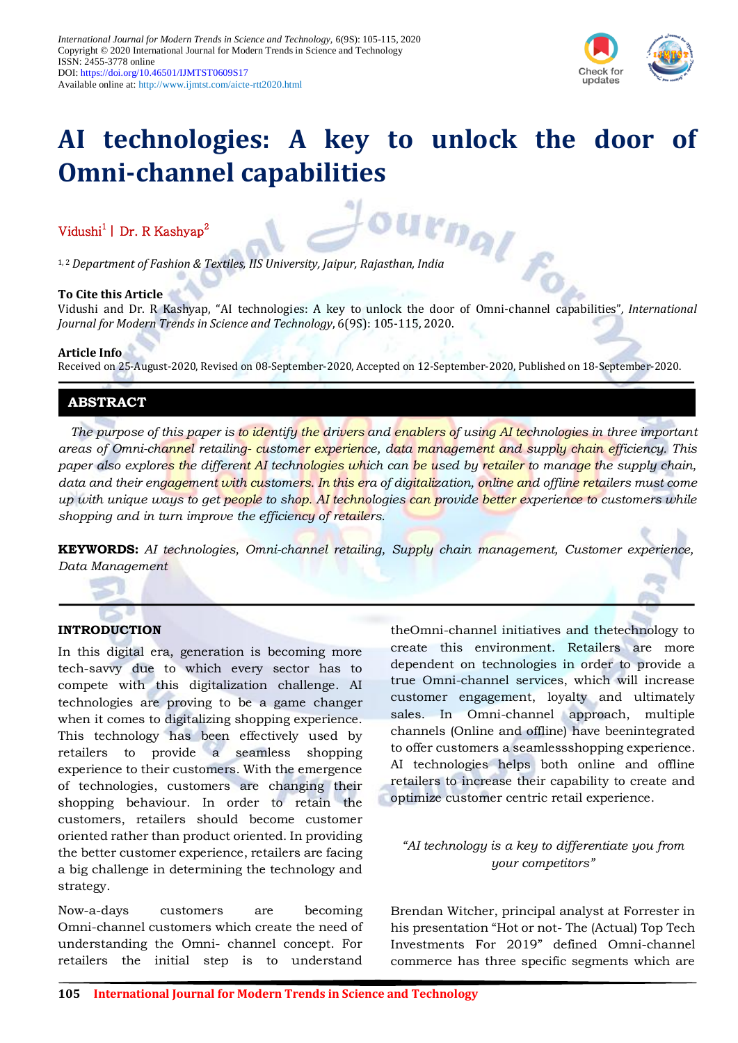

# **AI technologies: A key to unlock the door of Omni-channel capabilities**

# Vidushi<sup>1</sup> | Dr. R Kashyap<sup>2</sup>

1, 2 *Department of Fashion & Textiles, IIS University, Jaipur, Rajasthan, India*

#### **To Cite this Article**

Vidushi and Dr. R Kashyap, "AI technologies: A key to unlock the door of Omni-channel capabilities"*, International Journal for Modern Trends in Science and Technology*, 6(9S): 105-115, 2020.

#### **Article Info**

Received on 25-August-2020, Revised on 08-September-2020, Accepted on 12-September-2020, Published on 18-September-2020.

## **ABSTRACT**

*The purpose of this paper is to identify the drivers and enablers of using AI technologies in three important areas of Omni-channel retailing- customer experience, data management and supply chain efficiency. This paper also explores the different AI technologies which can be used by retailer to manage the supply chain, data and their engagement with customers. In this era of digitalization, online and offline retailers must come up with unique ways to get people to shop. AI technologies can provide better experience to customers while shopping and in turn improve the efficiency of retailers.*

**KEYWORDS:** *AI technologies, Omni-channel retailing, Supply chain management, Customer experience, Data Management*

## **INTRODUCTION**

In this digital era, generation is becoming more tech-savvy due to which every sector has to compete with this digitalization challenge. AI technologies are proving to be a game changer when it comes to digitalizing shopping experience. This technology has been effectively used by retailers to provide a seamless shopping experience to their customers. With the emergence of technologies, customers are changing their shopping behaviour. In order to retain the customers, retailers should become customer oriented rather than product oriented. In providing the better customer experience, retailers are facing a big challenge in determining the technology and strategy.

Now-a-days customers are becoming Omni-channel customers which create the need of understanding the Omni- channel concept. For retailers the initial step is to understand theOmni-channel initiatives and thetechnology to create this environment. Retailers are more dependent on technologies in order to provide a true Omni-channel services, which will increase customer engagement, loyalty and ultimately sales. In Omni-channel approach, multiple channels (Online and offline) have beenintegrated to offer customers a seamlessshopping experience. AI technologies helps both online and offline retailers to increase their capability to create and optimize customer centric retail experience.

## *"AI technology is a key to differentiate you from your competitors"*

Brendan Witcher, principal analyst at Forrester in his presentation "Hot or not- The (Actual) Top Tech Investments For 2019" defined Omni-channel commerce has three specific segments which are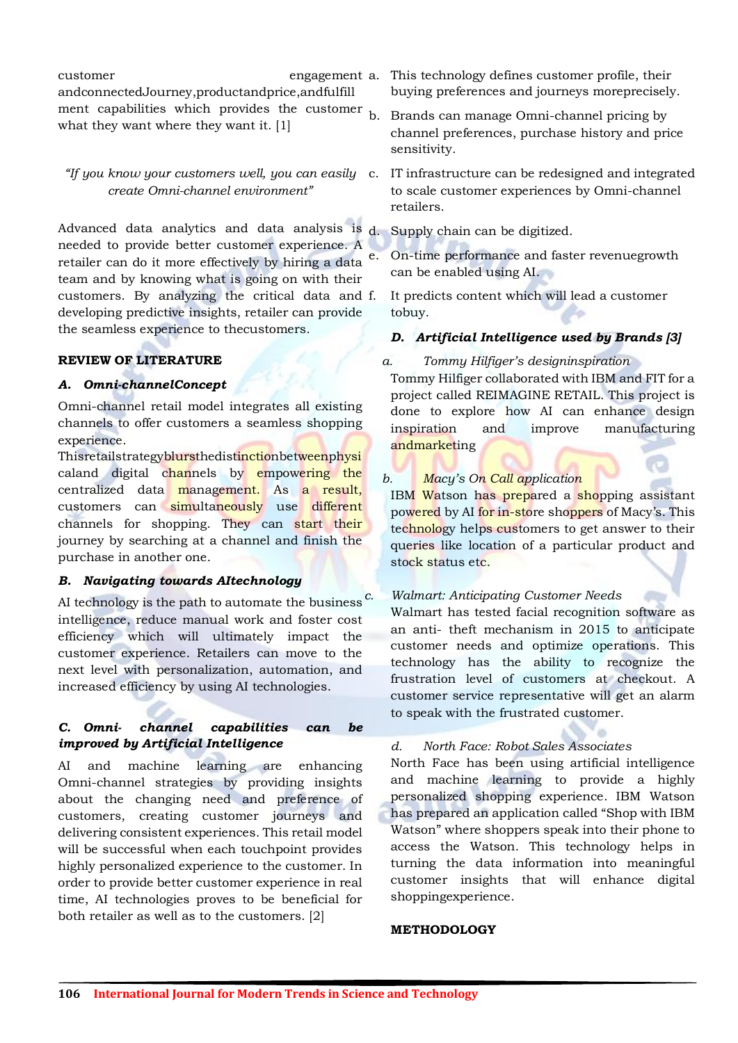customer engagement a. andconnectedJourney,productandprice,andfulfill ment capabilities which provides the customer  $_{b}$ . what they want where they want it. [1]

*create Omni-channel environment"*

Advanced data analytics and data analysis is  $d$ . needed to provide better customer experience. A retailer can do it more effectively by hiring a data team and by knowing what is going on with their customers. By analyzing the critical data and developing predictive insights, retailer can provide the seamless experience to thecustomers.

## **REVIEW OF LITERATURE**

## *A. Omni-channelConcept*

Omni-channel retail model integrates all existing channels to offer customers a seamless shopping experience.

Thisretailstrategyblursthedistinctionbetweenphysi caland digital channels by empowering the centralized data management. As a result, customers can simultaneously use different channels for shopping. They can start their journey by searching at a channel and finish the purchase in another one.

## *B. Navigating towards AItechnology*

AI technology is the path to automate the business  $<sup>c</sup>$ .</sup> intelligence, reduce manual work and foster cost efficiency which will ultimately impact the customer experience. Retailers can move to the next level with personalization, automation, and increased efficiency by using AI technologies.

## *C. Omni- channel capabilities can be improved by Artificial Intelligence*

AI and machine learning are enhancing Omni-channel strategies by providing insights about the changing need and preference of customers, creating customer journeys and delivering consistent experiences. This retail model will be successful when each touchpoint provides highly personalized experience to the customer. In order to provide better customer experience in real time, AI technologies proves to be beneficial for both retailer as well as to the customers. [2]

This technology defines customer profile, their buying preferences and journeys moreprecisely.

- b. Brands can manage Omni-channel pricing by channel preferences, purchase history and price sensitivity.
- *"If you know your customers well, you can easily*  c. IT infrastructure can be redesigned and integrated to scale customer experiences by Omni-channel retailers.

Supply chain can be digitized.

e. On-time performance and faster revenuegrowth can be enabled using AI.

It predicts content which will lead a customer tobuy.

# *D. Artificial Intelligence used by Brands [3]*

## *a. Tommy Hilfiger's designinspiration*

Tommy Hilfiger collaborated with IBM and FIT for a project called REIMAGINE RETAIL. This project is done to explore how AI can enhance design inspiration and improve manufacturing andmarketing

## *b. Macy's On Call application*

IBM Watson has prepared a shopping assistant powered by AI for in-store shoppers of Macy's. This technology helps customers to get answer to their queries like location of a particular product and stock status etc.

## *c. Walmart: Anticipating Customer Needs*

Walmart has tested facial recognition software as an anti- theft mechanism in 2015 to anticipate customer needs and optimize operations. This technology has the ability to recognize the frustration level of customers at checkout. A customer service representative will get an alarm to speak with the frustrated customer.

*d. North Face: Robot Sales Associates*

North Face has been using artificial intelligence and machine learning to provide a highly personalized shopping experience. IBM Watson has prepared an application called "Shop with IBM Watson" where shoppers speak into their phone to access the Watson. This technology helps in turning the data information into meaningful customer insights that will enhance digital shoppingexperience.

## **METHODOLOGY**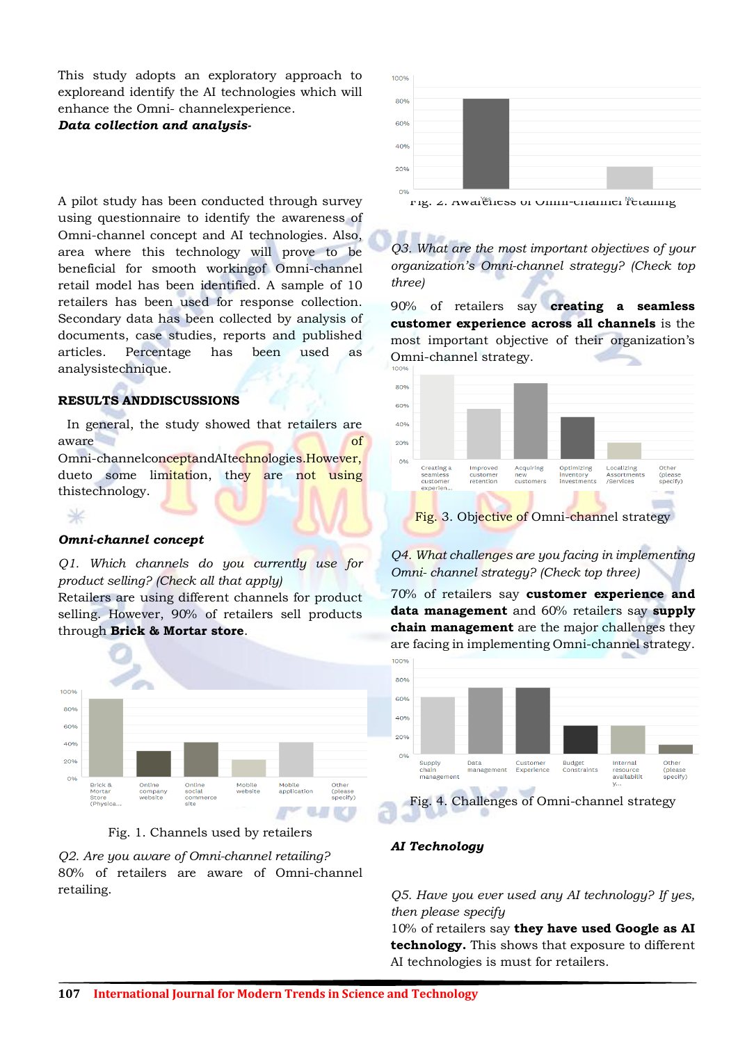This study adopts an exploratory approach to exploreand identify the AI technologies which will enhance the Omni- channelexperience.

#### *Data collection and analysis-*

A pilot study has been conducted through survey using questionnaire to identify the awareness of Omni-channel concept and AI technologies. Also, area where this technology will prove to be beneficial for smooth workingof Omni-channel retail model has been identified. A sample of 10 retailers has been used for response collection. Secondary data has been collected by analysis of documents, case studies, reports and published articles. Percentage has been used as analysistechnique.

#### **RESULTS ANDDISCUSSIONS**

In general, the study showed that retailers are aware of the contract of the contract of the contract of the contract of the contract of the contract of the contract of the contract of the contract of the contract of the contract of the contract of the contract of the c Omni-channelconceptandAItechnologies.However, dueto some limitation, they are not using thistechnology.

## *Omni-channel concept*

⋇

*Q1. Which channels do you currently use for product selling? (Check all that apply)*

Retailers are using different channels for product selling. However, 90% of retailers sell products through **Brick & Mortar store**.



Fig. 1. Channels used by retailers

*Q2. Are you aware of Omni-channel retailing?* 80% of retailers are aware of Omni-channel retailing.



 $r$ ig.  $\alpha$ . Awareness of Omni-channel retailing

*Q3. What are the most important objectives of your organization's Omni-channel strategy? (Check top three)*

90% of retailers say **creating a seamless customer experience across all channels** is the most important objective of their organization's Omni-channel strategy.



# *Q4. What challenges are you facing in implementing Omni- channel strategy? (Check top three)*

70% of retailers say **customer experience and data management** and 60% retailers say **supply chain management** are the major challenges they are facing in implementing Omni-channel strategy.



## *AI Technology*

*Q5. Have you ever used any AI technology? If yes, then please specify*

10% of retailers say **they have used Google as AI technology.** This shows that exposure to different AI technologies is must for retailers.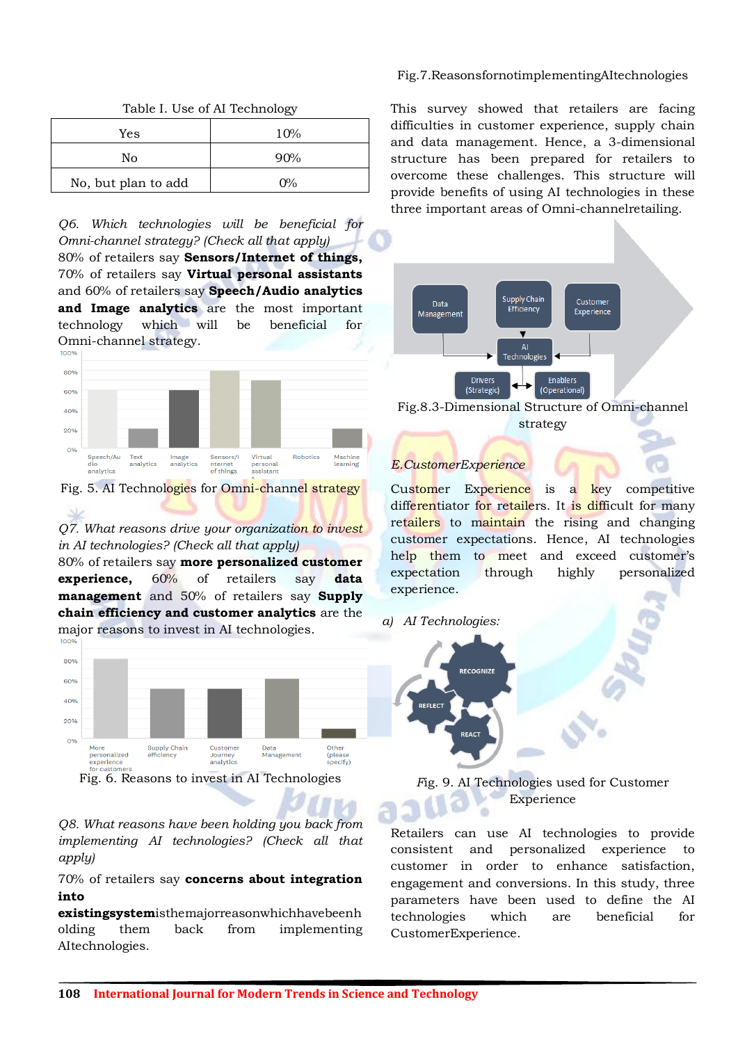|                     | $-11$ |
|---------------------|-------|
| Yes                 | 10%   |
| No                  | 90%   |
| No, but plan to add | $0\%$ |

Table I. Use of AI Technology

*Q6. Which technologies will be beneficial for Omni-channel strategy? (Check all that apply)*

80% of retailers say **Sensors/Internet of things,**  70% of retailers say **Virtual personal assistants**  and 60% of retailers say **Speech/Audio analytics and Image analytics** are the most important technology which will be beneficial for Omni-channel strategy.

 $100$ 



Fig. 5. AI Technologies for Omni-channel strategy

*Q7. What reasons drive your organization to invest in AI technologies? (Check all that apply)*

80% of retailers say **more personalized customer experience,** 60% of retailers say **data management** and 50% of retailers say **Supply chain efficiency and customer analytics** are the major reasons to invest in AI technologies.



*Q8. What reasons have been holding you back from implementing AI technologies? (Check all that apply)*

70% of retailers say **concerns about integration into** 

**existingsystem**isthemajorreasonwhichhavebeenh olding them back from implementing AItechnologies.

#### Fig.7.ReasonsfornotimplementingAItechnologies

This survey showed that retailers are facing difficulties in customer experience, supply chain and data management. Hence, a 3-dimensional structure has been prepared for retailers to overcome these challenges. This structure will provide benefits of using AI technologies in these three important areas of Omni-channelretailing.



strategy

# *E.CustomerExperience*

Customer Experience is a key competitive differentiator for retailers. It is difficult for many retailers to maintain the rising and changing customer expectations. Hence, AI technologies help them to meet and exceed customer's expectation through highly personalized experience.

## *a) AI Technologies:*



*F*ig. 9. AI Technologies used for Customer Experience

Retailers can use AI technologies to provide consistent and personalized experience to customer in order to enhance satisfaction, engagement and conversions. In this study, three parameters have been used to define the AI technologies which are beneficial for CustomerExperience.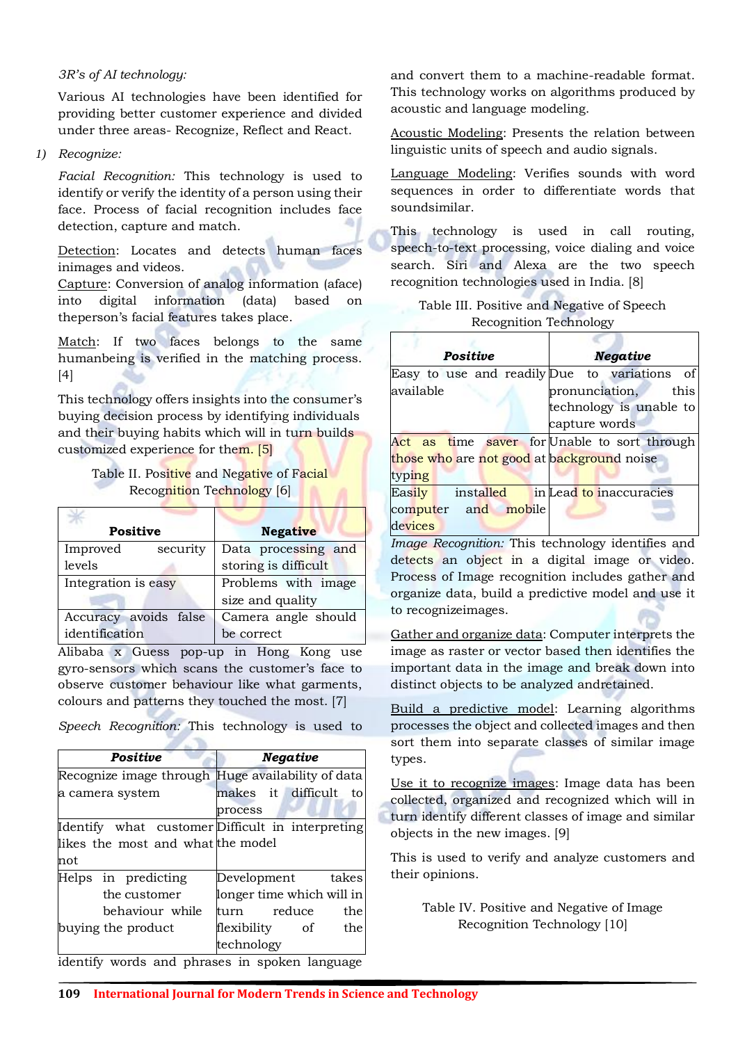## *3R's of AI technology:*

Various AI technologies have been identified for providing better customer experience and divided under three areas- Recognize, Reflect and React.

## *1) Recognize:*

*Facial Recognition:* This technology is used to identify or verify the identity of a person using their face. Process of facial recognition includes face detection, capture and match.

Detection: Locates and detects human faces inimages and videos.

Capture: Conversion of analog information (aface) into digital information (data) based on theperson's facial features takes place.

Match: If two faces belongs to the same humanbeing is verified in the matching process. [4]

This technology offers insights into the consumer's buying decision process by identifying individuals and their buying habits which will in turn builds customized experience for them. [5]

# Table II. Positive and Negative of Facial Recognition Technology [6]

| <b>Positive</b>       | <b>Negative</b>      |
|-----------------------|----------------------|
| security<br>Improved  | Data processing and  |
| levels                | storing is difficult |
| Integration is easy   | Problems with image  |
|                       | size and quality     |
| Accuracy avoids false | Camera angle should  |
| identification        | be correct           |

Alibaba x Guess pop-up in Hong Kong use gyro-sensors which scans the customer's face to observe customer behaviour like what garments, colours and patterns they touched the most. [7]

*Speech Recognition:* This technology is used to

| Positive                          | <b>Negative</b>                                   |
|-----------------------------------|---------------------------------------------------|
|                                   | Recognize image through Huge availability of data |
| a camera system                   | makes it difficult<br>to                          |
|                                   | process                                           |
|                                   | Identify what customer Difficult in interpreting  |
| likes the most and what the model |                                                   |
| not                               |                                                   |
| Helps in predicting               | Development takes                                 |
| the customer                      | longer time which will in                         |
| behaviour while                   | reduce<br>the<br>turn                             |
| buying the product                | flexibility of<br>the                             |
|                                   | technology                                        |
|                                   | identify words and phrases in spoken language     |

and convert them to a machine-readable format. This technology works on algorithms produced by acoustic and language modeling.

Acoustic Modeling: Presents the relation between linguistic units of speech and audio signals.

Language Modeling: Verifies sounds with word sequences in order to differentiate words that soundsimilar.

This technology is used in call routing, speech-to-text processing, voice dialing and voice search. Siri and Alexa are the two speech recognition technologies used in India. [8]

| Table III. Positive and Negative of Speech |  |
|--------------------------------------------|--|
| <b>Recognition Technology</b>              |  |

| Positive                                     | <b>Negative</b>         |  |  |  |
|----------------------------------------------|-------------------------|--|--|--|
| Easy to use and readily Due to variations of |                         |  |  |  |
| available                                    | pronunciation, this     |  |  |  |
|                                              | technology is unable to |  |  |  |
|                                              | capture words           |  |  |  |
| Act as time saver for Unable to sort through |                         |  |  |  |
| those who are not good at background noise   |                         |  |  |  |
| typing                                       |                         |  |  |  |
| installed<br>Easily                          | in Lead to inaccuracies |  |  |  |
| computer and mobile                          |                         |  |  |  |
| devices                                      |                         |  |  |  |

*Image Recognition:* This technology identifies and detects an object in a digital image or video. Process of Image recognition includes gather and organize data, build a predictive model and use it to recognizeimages.

Gather and organize data: Computer interprets the image as raster or vector based then identifies the important data in the image and break down into distinct objects to be analyzed andretained.

Build a predictive model: Learning algorithms processes the object and collected images and then sort them into separate classes of similar image types.

Use it to recognize images: Image data has been collected, organized and recognized which will in turn identify different classes of image and similar objects in the new images. [9]

This is used to verify and analyze customers and their opinions.

> Table IV. Positive and Negative of Image Recognition Technology [10]

identify words and phrases in spoken language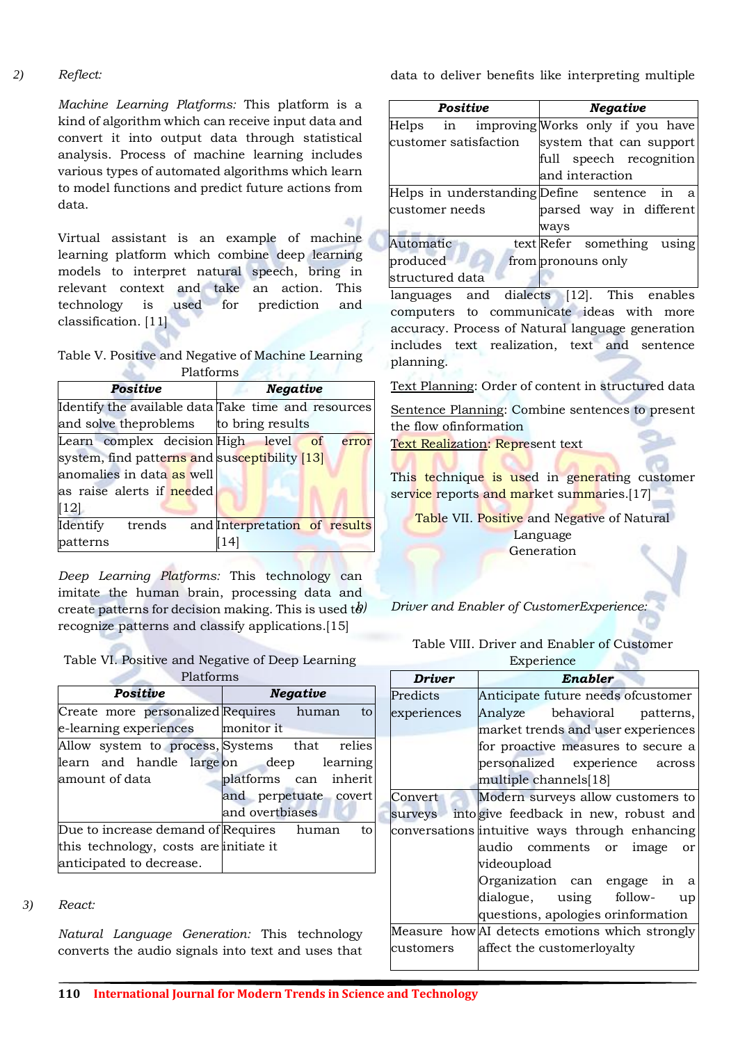#### *2) Reflect:*

*Machine Learning Platforms:* This platform is a kind of algorithm which can receive input data and convert it into output data through statistical analysis. Process of machine learning includes various types of automated algorithms which learn to model functions and predict future actions from data.

Virtual assistant is an example of machine learning platform which combine deep learning models to interpret natural speech, bring in relevant context and take an action. This technology is used for prediction and classification. [11]

Table V. Positive and Negative of Machine Learning Platforms **Platforms** 

| Positive                                            |  |  | <b>Negative</b>  |                               |
|-----------------------------------------------------|--|--|------------------|-------------------------------|
| Identify the available data Take time and resources |  |  |                  |                               |
| and solve the problems                              |  |  | to bring results |                               |
| Learn complex decision High level of                |  |  |                  | error                         |
| system, find patterns and susceptibility [13]       |  |  |                  |                               |
| anomalies in data as well                           |  |  |                  |                               |
| as raise alerts if needed                           |  |  |                  |                               |
| $\vert 12 \vert$                                    |  |  |                  |                               |
| Identify trends                                     |  |  |                  | and Interpretation of results |
| patterns                                            |  |  |                  |                               |

*Deep Learning Platforms:* This technology can imitate the human brain, processing data and create patterns for decision making. This is used  $t\partial$ recognize patterns and classify applications.[15]

Table VI. Positive and Negative of Deep Learning Platforms

| <b>Positive</b>                              | <b>Negative</b>       |
|----------------------------------------------|-----------------------|
| Create more personalized Requires human to   |                       |
| e-learning experiences monitor it            |                       |
| Allow system to process, Systems that relies |                       |
| learn and handle large on deep learning      |                       |
| amount of data                               | platforms can inherit |
|                                              | and perpetuate covert |
|                                              | and overtbiases       |
| Due to increase demand of Requires human     | to                    |
| this technology, costs are initiate it       |                       |
| anticipated to decrease.                     |                       |

#### *3) React:*

*Natural Language Generation:* This technology converts the audio signals into text and uses that data to deliver benefits like interpreting multiple

|                                             | <b>Positive</b> |  |                         |                            | <b>Negative</b> |  |  |
|---------------------------------------------|-----------------|--|-------------------------|----------------------------|-----------------|--|--|
| Helps in improving Works only if you have   |                 |  |                         |                            |                 |  |  |
| customer satisfaction                       |                 |  |                         | system that can support    |                 |  |  |
|                                             |                 |  |                         | full speech recognition    |                 |  |  |
|                                             |                 |  |                         | and interaction            |                 |  |  |
| Helps in understanding Define sentence in a |                 |  |                         |                            |                 |  |  |
| customer needs                              |                 |  | parsed way in different |                            |                 |  |  |
|                                             |                 |  |                         | ways                       |                 |  |  |
| Automatic                                   |                 |  |                         | text Refer something using |                 |  |  |
| produced                                    |                 |  |                         | from pronouns only         |                 |  |  |
| structured data                             |                 |  |                         |                            |                 |  |  |

languages and dialects [12]. This enables computers to communicate ideas with more accuracy. Process of Natural language generation includes text realization, text and sentence planning.

Text Planning: Order of content in structured data

Sentence Planning: Combine sentences to present the flow ofinformation

Text Realization: Represent text

This technique is used in generating customer service reports and market summaries.[17]

Table VII. Positive and Negative of Natural Language Generation

*b) Driver and Enabler of CustomerExperience:*

Table VIII. Driver and Enabler of Customer

Experience

 $\sim$ 

| <b>Driver</b> | Enabler                                        |
|---------------|------------------------------------------------|
| Predicts      | Anticipate future needs ofcustomer             |
| experiences   | behavioral patterns,<br>Analyze                |
|               | market trends and user experiences             |
|               | for proactive measures to secure a             |
|               | personalized experience across                 |
|               | multiple channels[18]                          |
| Convert       | Modern surveys allow customers to              |
| surveys       | into give feedback in new, robust and          |
|               | conversations intuitive ways through enhancing |
|               | audio comments or image<br>or                  |
|               | videoupload                                    |
|               | Organization can engage in<br>a                |
|               | dialogue, using follow-<br>up                  |
|               | questions, apologies orinformation             |
|               | Measure how AI detects emotions which strongly |
| customers     | affect the customerloyalty                     |
|               |                                                |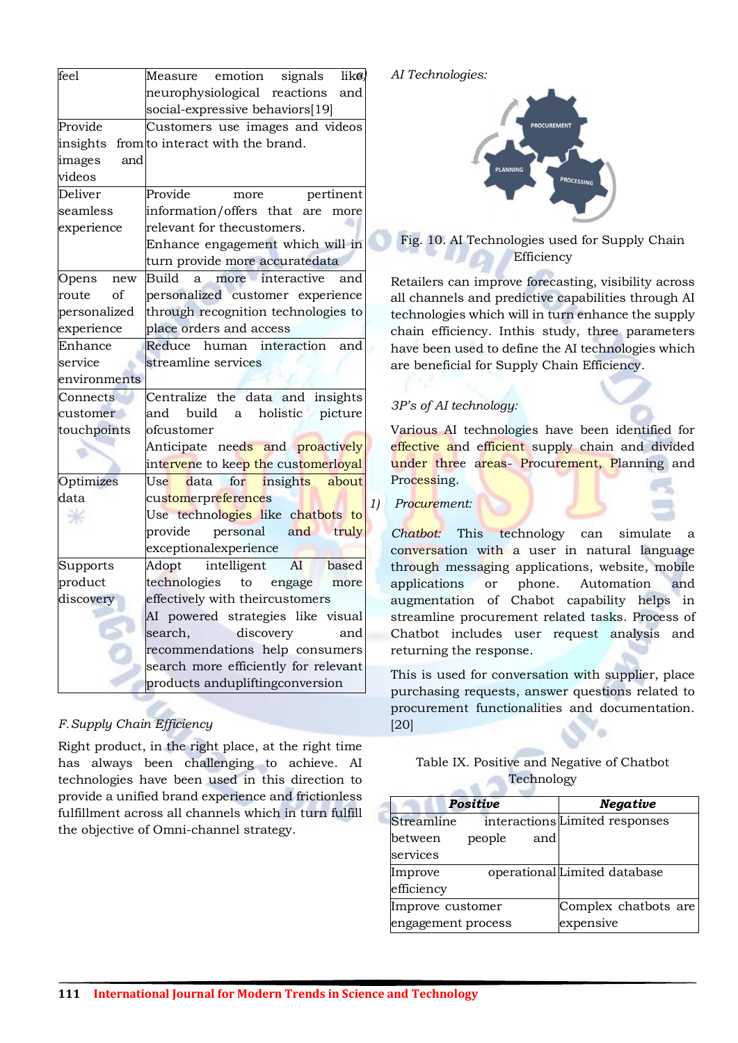| feel          | Measure emotion signals<br>$_{\text{like}}$     |
|---------------|-------------------------------------------------|
|               |                                                 |
|               | neurophysiological reactions<br>and             |
|               | social-expressive behaviors[19]                 |
| Provide       | Customers use images and videos                 |
| insights      | from to interact with the brand.                |
| images<br>and |                                                 |
| videos        |                                                 |
| Deliver       | Provide<br>pertinent<br>more                    |
| seamless      | information/offers that are<br>more             |
| experience    | relevant for thecustomers.                      |
|               | Enhance engagement which will in                |
|               | turn provide more accuratedata                  |
| Opens<br>new  | <b>Build</b><br>more interactive<br>and<br>a.   |
| of<br>route   | personalized customer experience                |
| personalized  | through recognition technologies to             |
| experience    | place orders and access                         |
| Enhance       | Reduce<br>human interaction<br>and              |
| service       | streamline services                             |
| environments  |                                                 |
| Connects      | Centralize the data and insights                |
| customer      | holistic picture<br>and build a                 |
| touchpoints   | ofcustomer                                      |
|               | Anticipate nee <mark>ds a</mark> nd proactively |
|               | intervene to keep the customerloyal             |
| Optimizes     | data for insights about<br>Use                  |
| data          | customerpreferences                             |
|               | Use technologies like chatbots to               |
|               | personal and truly<br>provide                   |
|               | exceptionalexperience                           |
| Supports      | Adopt intelligent AI based                      |
| product       | technologies to engage<br>more                  |
| discovery     | effectively with theircustomers                 |
|               | AI powered strategies like visual               |
|               | search,<br>discovery<br>and                     |
|               | recommendations help consumers                  |
|               | search more efficiently for relevant            |
|               | products andupliftingconversion                 |
|               |                                                 |

# *F.Supply Chain Efficiency*

Right product, in the right place, at the right time has always been challenging to achieve. AI technologies have been used in this direction to provide a unified brand experience and frictionless fulfillment across all channels which in turn fulfill the objective of Omni-channel strategy.

## *a) AI Technologies:*



# Fig. 10. AI Technologies used for Supply Chain **Efficiency**

Retailers can improve forecasting, visibility across all channels and predictive capabilities through AI technologies which will in turn enhance the supply chain efficiency. Inthis study, three parameters have been used to define the AI technologies which are beneficial for Supply Chain Efficiency.

# *3P's of AI technology:*

Various AI technologies have been identified for effective and efficient supply chain and divided under three areas- Procurement, Planning and Processing.

## *1) Procurement:*

*Chatbot:* This technology can simulate a conversation with a user in natural language through messaging applications, website, mobile applications or phone. Automation and augmentation of Chabot capability helps in streamline procurement related tasks. Process of Chatbot includes user request analysis and returning the response.

This is used for conversation with supplier, place purchasing requests, answer questions related to procurement functionalities and documentation. [20]

## Table IX. Positive and Negative of Chatbot **Technology**

| <b>Positive</b>    |        |           | <b>Negative</b>                |  |
|--------------------|--------|-----------|--------------------------------|--|
| Streamline         |        |           | interactions Limited responses |  |
| between            | people | and       |                                |  |
| services           |        |           |                                |  |
| Improve            |        |           | operational Limited database   |  |
| efficiency         |        |           |                                |  |
| Improve customer   |        |           | Complex chatbots are           |  |
| engagement process |        | expensive |                                |  |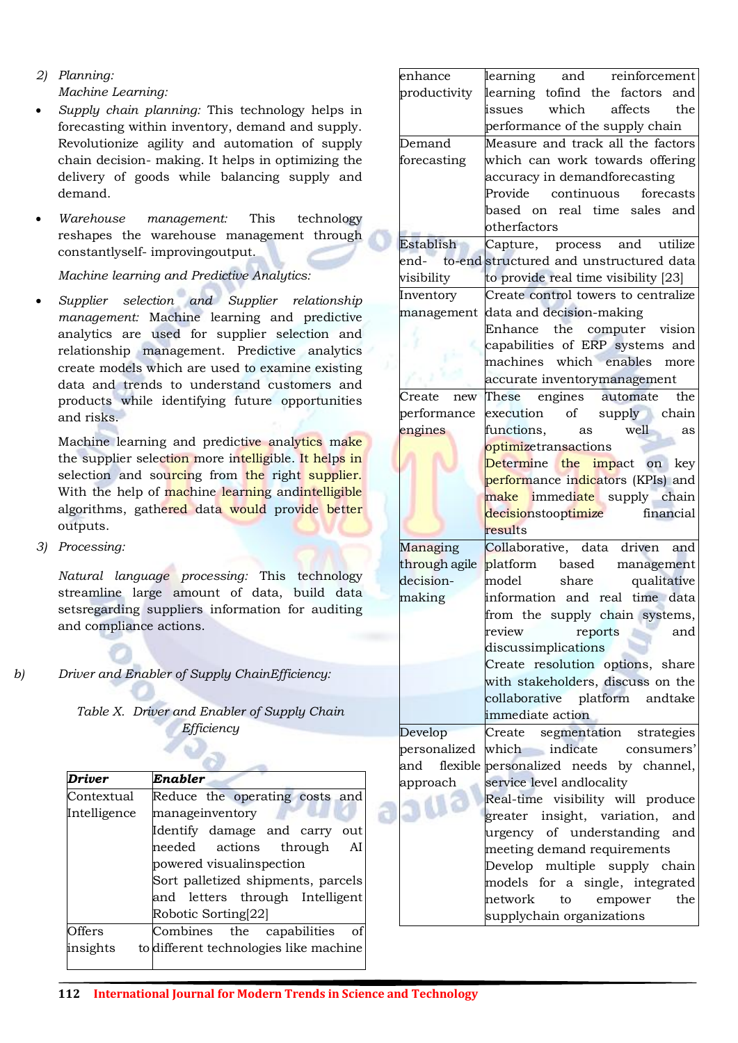*2) Planning: Machine Learning:*

- *Supply chain planning:* This technology helps in forecasting within inventory, demand and supply. Revolutionize agility and automation of supply chain decision- making. It helps in optimizing the delivery of goods while balancing supply and demand.
- *Warehouse management:* This technology reshapes the warehouse management through constantlyself- improvingoutput.

*Machine learning and Predictive Analytics:*

 *Supplier selection and Supplier relationship management:* Machine learning and predictive analytics are used for supplier selection and relationship management. Predictive analytics create models which are used to examine existing data and trends to understand customers and products while identifying future opportunities and risks.

Machine learning and predictive analytics make the supplier selection more intelligible. It helps in selection and sourcing from the right supplier. With the help of machine learning andintelligible algorithms, gathered data would provide better outputs.

*3) Processing:*

*Natural language processing:* This technology streamline large amount of data, build data setsregarding suppliers information for auditing and compliance actions.

*b) Driver and Enabler of Supply ChainEfficiency:*

| Table X. Driver and Enabler of Supply Chain |
|---------------------------------------------|
| Efficiency                                  |
|                                             |
|                                             |

| <b>Driver</b> | Enabler                                |
|---------------|----------------------------------------|
| Contextual    | Reduce the operating costs and         |
| Intelligence  | manageinventory                        |
|               | Identify damage and carry<br>out       |
|               | needed actions through<br>AI           |
|               | powered visualinspection               |
|               | Sort palletized shipments, parcels     |
|               | and letters through Intelligent        |
|               | Robotic Sorting[22]                    |
| Offers        | Combines the capabilities<br>οf        |
| insights      | to different technologies like machine |

| enhance       |                      | learning and reinforcement                   |
|---------------|----------------------|----------------------------------------------|
| productivity  |                      | learning tofind the factors and              |
|               |                      | issues which affects the                     |
|               |                      | performance of the supply chain              |
| Demand        |                      | Measure and track all the factors            |
| forecasting   |                      | which can work towards offering              |
|               |                      | accuracy in demandforecasting                |
|               |                      | Provide continuous<br>forecasts              |
|               |                      | based on real time sales and                 |
|               | otherfactors         |                                              |
| Establish     |                      | Capture, process and utilize                 |
|               |                      | end- to-end structured and unstructured data |
| visibility    |                      | to provide real time visibility [23]         |
| Inventory     |                      | Create control towers to centralize          |
| management    |                      | data and decision-making                     |
|               |                      | Enhance the computer vision                  |
|               |                      | capabilities of ERP systems and              |
|               |                      | machines which enables<br>more               |
|               |                      | accurate inventorymanagement                 |
| Create new    |                      | These engines automate<br>the                |
| performance   |                      | execution of supply chain                    |
| engines       | functions,           | well<br>as<br>as                             |
|               | optimizetransactions |                                              |
|               | Determine            | the impact on key                            |
|               |                      | performance indicators (KPIs) and            |
|               |                      | make immediate supply chain                  |
|               | decisionstooptimize  | financial                                    |
|               | results              |                                              |
| Managing      |                      | Collaborative, data driven and               |
| through agile |                      | platform based management                    |
| decision-     | model                | qualitative<br>share                         |
| making        |                      | information and real time data               |
|               |                      | from the supply chain systems,               |
|               | review               | reports<br>and                               |
|               | discussimplications  |                                              |
|               |                      | Create resolution options, share             |
|               |                      | with stakeholders, discuss on the            |
|               |                      | collaborative platform andtake               |
|               | immediate action     |                                              |
| Develop       | Create               | strategies<br>segmentation                   |
| personalized  |                      | which indicate consumers'                    |
| and           |                      | flexible personalized needs by channel,      |
| approach      |                      | service level andlocality                    |
|               |                      | Real-time visibility will produce            |
|               |                      | greater insight, variation, and              |
|               |                      | urgency of understanding and                 |
|               |                      | meeting demand requirements                  |
|               |                      | Develop multiple supply chain                |
|               |                      | models for a single, integrated              |
|               | network              | to<br>empower<br>the                         |
|               |                      | supplychain organizations                    |
|               |                      |                                              |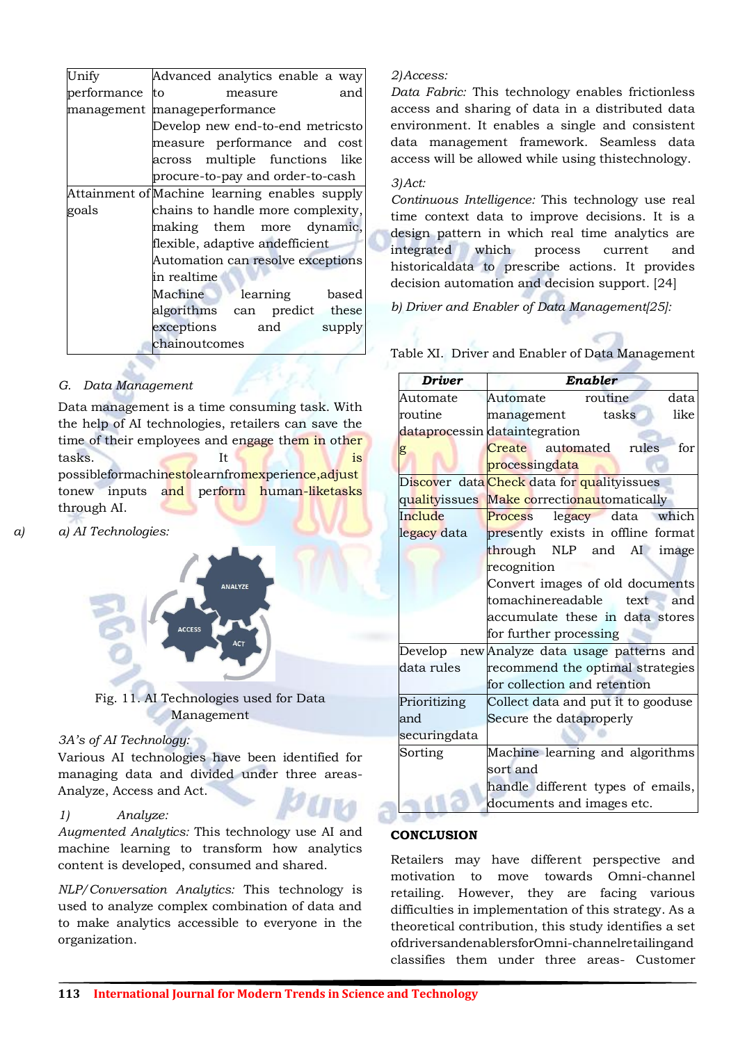| Unify          | Advanced analytics enable a way               |  |  |
|----------------|-----------------------------------------------|--|--|
| performance to | and<br>measure                                |  |  |
|                | management manageperformance                  |  |  |
|                | Develop new end-to-end metricsto              |  |  |
|                | measure performance and cost                  |  |  |
|                | across multiple functions like                |  |  |
|                | procure-to-pay and order-to-cash              |  |  |
|                | Attainment of Machine learning enables supply |  |  |
| goals          | chains to handle more complexity,             |  |  |
|                | making them more dynamic,                     |  |  |
|                | flexible, adaptive andefficient               |  |  |
|                | Automation can resolve exceptions             |  |  |
|                | in realtime                                   |  |  |
|                | Machine learning based                        |  |  |
|                | algorithms can predict these                  |  |  |
|                | exceptions and supply                         |  |  |
|                | chainoutcomes                                 |  |  |

# *G. Data Management*

Data management is a time consuming task. With the help of AI technologies, retailers can save the time of their employees and engage them in other tasks. possibleformachinestolearnfromexperience,adjust tonew inputs and perform human-liketasks through AI.

*a) a) AI Technologies:*



Fig. 11. AI Technologies used for Data Management

## *3A's of AI Technology:*

Various AI technologies have been identified for managing data and divided under three areas-Analyze, Access and Act.

## *1) Analyze:*

*Augmented Analytics:* This technology use AI and machine learning to transform how analytics content is developed, consumed and shared.

*NLP/Conversation Analytics:* This technology is used to analyze complex combination of data and to make analytics accessible to everyone in the organization.

#### *2)Access:*

*Data Fabric:* This technology enables frictionless access and sharing of data in a distributed data environment. It enables a single and consistent data management framework. Seamless data access will be allowed while using thistechnology.

#### *3)Act:*

*Continuous Intelligence:* This technology use real time context data to improve decisions. It is a design pattern in which real time analytics are integrated which process current and historicaldata to prescribe actions. It provides decision automation and decision support. [24]

*b) Driver and Enabler of Data Management[25]:*

| <b>Driver</b> | Enabler                                                                |
|---------------|------------------------------------------------------------------------|
| Automate      | routine<br>data<br>Automate                                            |
| routine       | like<br>tasks<br>management                                            |
|               | dataprocessin dataintegration                                          |
| g             | Create automated rules<br>for                                          |
|               | processingdata                                                         |
|               | Di <mark>scov</mark> er data <mark>Check</mark> data for qualityissues |
| qualityissues | Make correctionautomatically                                           |
| Include       | which<br>legacy data<br>Process                                        |
| legacy data   | presently exists in offline format                                     |
|               | through NLP and<br>AI image                                            |
|               | recognition                                                            |
|               | Convert images of old documents                                        |
|               | tomachinereadable<br>text.<br>and                                      |
|               | accumulate these in data stores                                        |
|               | for further processing                                                 |
|               | Develop new Analyze data usage patterns and                            |
| data rules    | recommend the optimal strategies                                       |
|               | for collection and retention                                           |
| Prioritizing  | Collect data and put it to gooduse                                     |
| and           | Secure the dataproperly                                                |
| securingdata  |                                                                        |
| Sorting       | Machine learning and algorithms                                        |
|               | sort and                                                               |
|               | handle different types of emails,                                      |
|               | documents and images etc.                                              |

# Table XI. Driver and Enabler of Data Management

#### **CONCLUSION**

Retailers may have different perspective and motivation to move towards Omni-channel retailing. However, they are facing various difficulties in implementation of this strategy. As a theoretical contribution, this study identifies a set ofdriversandenablersforOmni-channelretailingand classifies them under three areas- Customer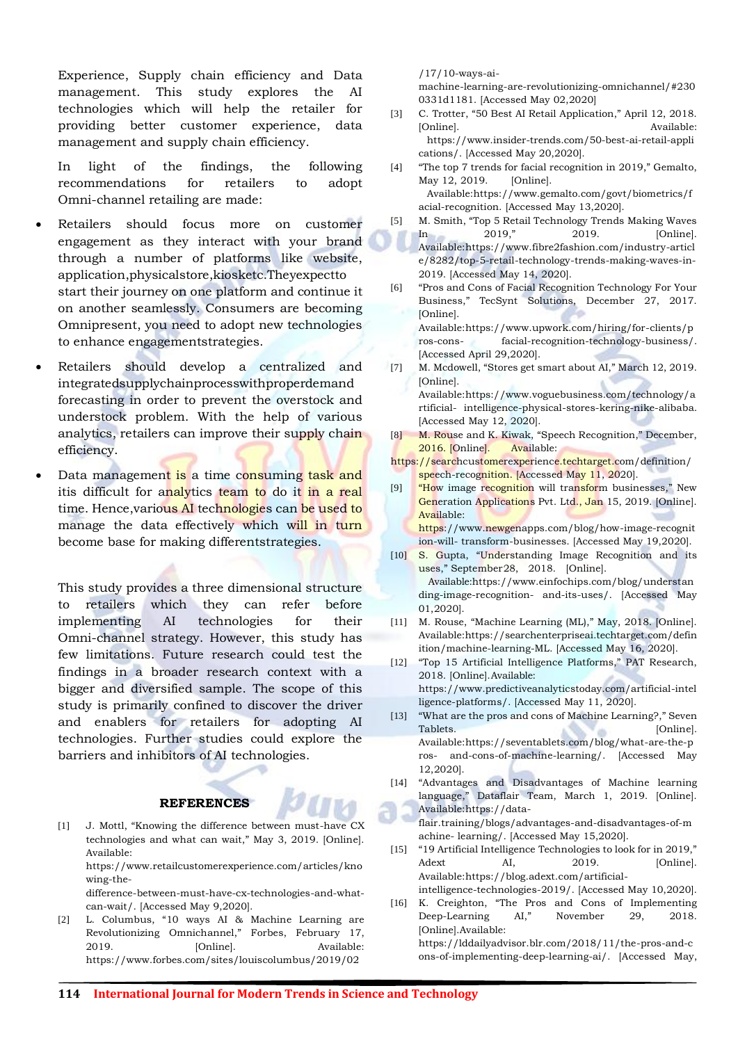Experience, Supply chain efficiency and Data management. This study explores the AI technologies which will help the retailer for providing better customer experience, data management and supply chain efficiency.

In light of the findings, the following recommendations for retailers to adopt Omni-channel retailing are made:

- Retailers should focus more on customer engagement as they interact with your brand through a number of platforms like website, application,physicalstore,kiosketc.Theyexpectto start their journey on one platform and continue it on another seamlessly. Consumers are becoming Omnipresent, you need to adopt new technologies to enhance engagementstrategies.
- Retailers should develop a centralized and integratedsupplychainprocesswithproperdemand forecasting in order to prevent the overstock and understock problem. With the help of various analytics, retailers can improve their supply chain efficiency.
- Data management is a time consuming task and itis difficult for analytics team to do it in a real time. Hence, various AI technologies can be used to manage the data effectively which will in turn become base for making differentstrategies.

This study provides a three dimensional structure to retailers which they can refer before implementing AI technologies for their Omni-channel strategy. However, this study has few limitations. Future research could test the findings in a broader research context with a bigger and diversified sample. The scope of this study is primarily confined to discover the driver and enablers for retailers for adopting AI technologies. Further studies could explore the barriers and inhibitors of AI technologies.

#### **REFERENCES**

[1] J. Mottl, "Knowing the difference between must-have CX technologies and what can wait," May 3, 2019. [Online]. Available[:](https://www.retailcustomerexperience.com/articles/knowing-the-difference-between-must-have-cx-technologies-and-what-can-wait/)

[https://www.retailcustomerexperience.com/articles/kno](https://www.retailcustomerexperience.com/articles/knowing-the-difference-between-must-have-cx-technologies-and-what-can-wait/) [wing-the-](https://www.retailcustomerexperience.com/articles/knowing-the-difference-between-must-have-cx-technologies-and-what-can-wait/)

difference-between-must-have-cx-technologies-and-whatcan-wait/. [Accessed May 9,2020].

[2] L. Columbus, "10 ways AI & Machine Learning are Revolutionizing Omnichannel," Forbes, February 17, 2019. [Online]. Available[:](https://www.forbes.com/sites/louiscolumbus/2019/02/17/10-ways-ai-machine-learning-are-revolutionizing-omnichannel/#2300331d1181) [https://www.forbes.com/sites/louiscolumbus/2019/02](https://www.forbes.com/sites/louiscolumbus/2019/02/17/10-ways-ai-machine-learning-are-revolutionizing-omnichannel/#2300331d1181)

[/17/10-ways-ai-](https://www.forbes.com/sites/louiscolumbus/2019/02/17/10-ways-ai-machine-learning-are-revolutionizing-omnichannel/#2300331d1181)

machine-learning-are-revolutionizing-omnichannel/#230 0331d1181. [Accessed May 02,2020]

- [3] C. Trotter, "50 Best AI Retail Application," April 12, 2018. [Online]. Available: [https://www.insider-trends.com/50-best-ai-retail-appli](https://www.insider-trends.com/50-best-ai-retail-applications/) cations/. [Accessed May 20,2020].
- [4] "The top 7 trends for facial recognition in 2019," Gemalto, May 12, 2019. [Online]. Availabl[e:https://www.gemalto.com/govt/biometrics/f](https://www.gemalto.com/govt/biometrics/facial-recognition) [acial-recognition.](https://www.gemalto.com/govt/biometrics/facial-recognition) [Accessed May 13,2020].
- [5] M. Smith, "Top 5 Retail Technology Trends Making Waves In 2019," 2019. [Online]. Available[:https://www.fibre2fashion.com/industry-articl](https://www.fibre2fashion.com/industry-article/8282/top-5-retail-technology-trends-making-waves-in-2019) e/8282/top-5-retail-technology-trends-making-waves-in-2019. [Accessed May 14, 2020].
- [6] "Pros and Cons of Facial Recognition Technology For Your Business," TecSynt Solutions, December 27, 2017. [Online]. Available[:https://www.upwork.com/hiring/for-clients/p](https://www.upwork.com/hiring/for-clients/pros-cons-facial-recognition-technology-business/)

[ros-cons-](https://www.upwork.com/hiring/for-clients/pros-cons-facial-recognition-technology-business/) [facial-recognition-technology-business/.](https://www.upwork.com/hiring/for-clients/pros-cons-facial-recognition-technology-business/)  [Accessed April 29,2020].

- [7] M. Mcdowell, "Stores get smart about AI," March 12, 2019. [Online]. Available[:https://www.voguebusiness.com/technology/a](https://www.voguebusiness.com/technology/artificial-intelligence-physical-stores-kering-nike-alibaba) [rtificial-](https://www.voguebusiness.com/technology/artificial-intelligence-physical-stores-kering-nike-alibaba) [intelligence-physical-stores-kering-nike-alibaba.](https://www.voguebusiness.com/technology/artificial-intelligence-physical-stores-kering-nike-alibaba) [Accessed May 12, 2020].
- [8] M. Rouse and K. Kiwak, "Speech Recognition," December, 2016. [Online]. Available:
- [https://searchcustomerexperience.techtarget.com/definition/](https://searchcustomerexperience.techtarget.com/definition/speech-recognition) [speech-recognition. \[](https://searchcustomerexperience.techtarget.com/definition/speech-recognition)Accessed May 11, 2020].
- [9] "How image recognition will transform businesses," New Generation Applications Pvt. Ltd., Jan 15, 2019. [Online]. Available[:](https://www.newgenapps.com/blog/how-image-recognition-will-transform-businesses)

[https://www.newgenapps.com/blog/how-image-recognit](https://www.newgenapps.com/blog/how-image-recognition-will-transform-businesses) [ion-will-](https://www.newgenapps.com/blog/how-image-recognition-will-transform-businesses) [transform-businesses. \[](https://www.newgenapps.com/blog/how-image-recognition-will-transform-businesses)Accessed May 19,2020].

- [10] S. Gupta, "Understanding Image Recognition and its uses," September28, 2018. [Online]. Available[:https://www.einfochips.com/blog/understan](https://www.einfochips.com/blog/understanding-image-recognition-and-its-uses/) [ding-image-recognition-](https://www.einfochips.com/blog/understanding-image-recognition-and-its-uses/) [and-its-uses/. \[](https://www.einfochips.com/blog/understanding-image-recognition-and-its-uses/)Accessed May 01,2020].
- [11] M. Rouse, "Machine Learning (ML)," May, 2018. [Online]. Availa[ble:https://searchenterpriseai.techtarget.com/defin](https://searchenterpriseai.techtarget.com/definition/machine-learning-ML) [ition/machine-learning-ML.](https://searchenterpriseai.techtarget.com/definition/machine-learning-ML) [Accessed May 16, 2020].
- [12] "Top 15 Artificial Intelligence Platforms," PAT Research, 2018. [Online].Available: [https://www.predictiveanalyticstoday.com/artificial-intel](https://www.predictiveanalyticstoday.com/artificial-intelligence-platforms/) [ligence-platforms/. \[](https://www.predictiveanalyticstoday.com/artificial-intelligence-platforms/)Accessed May 11, 2020].
- [13] "What are the pros and cons of Machine Learning?," Seven Tablets. [Online]. Available[:https://seventablets.com/blog/what-are-the-p](https://seventablets.com/blog/what-are-the-pros-and-cons-of-machine-learning/) [ros-](https://seventablets.com/blog/what-are-the-pros-and-cons-of-machine-learning/) [and-cons-of-machine-learning/. \[](https://seventablets.com/blog/what-are-the-pros-and-cons-of-machine-learning/)Accessed May 12,2020].
- [14] "Advantages and Disadvantages of Machine learning language," Dataflair Team, March 1, 2019. [Online]. Available[:https://data-](https://data-flair.training/blogs/advantages-and-disadvantages-of-machine-learning/)

flair.training/blogs/advantages-and-disadvantages-of-m achine- [learning/. \[](https://data-flair.training/blogs/advantages-and-disadvantages-of-machine-learning/)Accessed May 15,2020].

- [15] "19 Artificial Intelligence Technologies to look for in 2019," Adext AI, 2019. [Online]. Available[:https://blog.adext.com/artificial](https://blog.adext.com/artificial-intelligence-technologies-2019/)intelligence-technologies-2019/. [Accessed May 10,2020].
- [16] K. Creighton, "The Pros and Cons of Implementing Deep-Learning AI," November 29, 2018. [Online].Available: [https://lddailyadvisor.blr.com/2018/11/the-pros-and-c](https://lddailyadvisor.blr.com/2018/11/the-pros-and-cons-of-implementing-deep-learning-ai/) [ons-of-implementing-deep-learning-ai/. \[](https://lddailyadvisor.blr.com/2018/11/the-pros-and-cons-of-implementing-deep-learning-ai/)Accessed May,